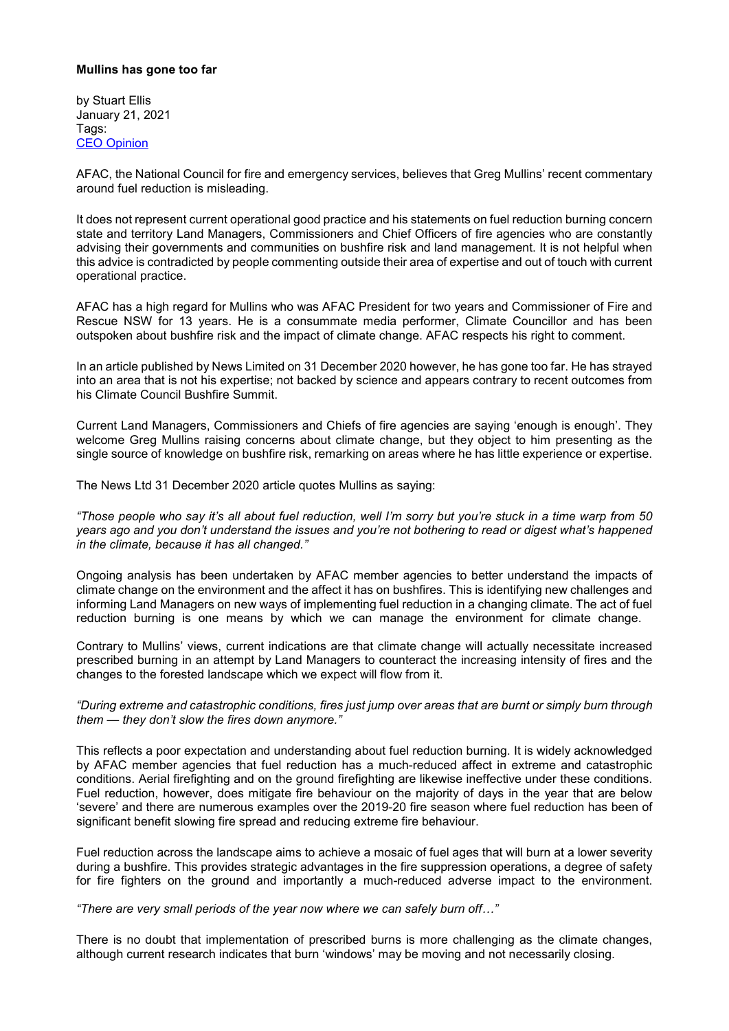### **Mullins has gone too far**

by Stuart Ellis January 21, 2021 Tags: CEO Opinion

AFAC, the National Council for fire and emergency services, believes that Greg Mullins' recent commentary around fuel reduction is misleading.

It does not represent current operational good practice and his statements on fuel reduction burning concern state and territory Land Managers, Commissioners and Chief Officers of fire agencies who are constantly advising their governments and communities on bushfire risk and land management. It is not helpful when this advice is contradicted by people commenting outside their area of expertise and out of touch with current operational practice.

AFAC has a high regard for Mullins who was AFAC President for two years and Commissioner of Fire and Rescue NSW for 13 years. He is a consummate media performer, Climate Councillor and has been outspoken about bushfire risk and the impact of climate change. AFAC respects his right to comment.

In an article published by News Limited on 31 December 2020 however, he has gone too far. He has strayed into an area that is not his expertise; not backed by science and appears contrary to recent outcomes from his Climate Council Bushfire Summit.

Current Land Managers, Commissioners and Chiefs of fire agencies are saying 'enough is enough'. They welcome Greg Mullins raising concerns about climate change, but they object to him presenting as the single source of knowledge on bushfire risk, remarking on areas where he has little experience or expertise.

The News Ltd 31 December 2020 article quotes Mullins as saying:

*"Those people who say it's all about fuel reduction, well I'm sorry but you're stuck in a time warp from 50 years ago and you don't understand the issues and you're not bothering to read or digest what's happened in the climate, because it has all changed."*

Ongoing analysis has been undertaken by AFAC member agencies to better understand the impacts of climate change on the environment and the affect it has on bushfires. This is identifying new challenges and informing Land Managers on new ways of implementing fuel reduction in a changing climate. The act of fuel reduction burning is one means by which we can manage the environment for climate change.

Contrary to Mullins' views, current indications are that climate change will actually necessitate increased prescribed burning in an attempt by Land Managers to counteract the increasing intensity of fires and the changes to the forested landscape which we expect will flow from it.

*"During extreme and catastrophic conditions, fires just jump over areas that are burnt or simply burn through them — they don't slow the fires down anymore."*

This reflects a poor expectation and understanding about fuel reduction burning. It is widely acknowledged by AFAC member agencies that fuel reduction has a much-reduced affect in extreme and catastrophic conditions. Aerial firefighting and on the ground firefighting are likewise ineffective under these conditions. Fuel reduction, however, does mitigate fire behaviour on the majority of days in the year that are below 'severe' and there are numerous examples over the 2019-20 fire season where fuel reduction has been of significant benefit slowing fire spread and reducing extreme fire behaviour.

Fuel reduction across the landscape aims to achieve a mosaic of fuel ages that will burn at a lower severity during a bushfire. This provides strategic advantages in the fire suppression operations, a degree of safety for fire fighters on the ground and importantly a much-reduced adverse impact to the environment.

*"There are very small periods of the year now where we can safely burn off…"*

There is no doubt that implementation of prescribed burns is more challenging as the climate changes, although current research indicates that burn 'windows' may be moving and not necessarily closing.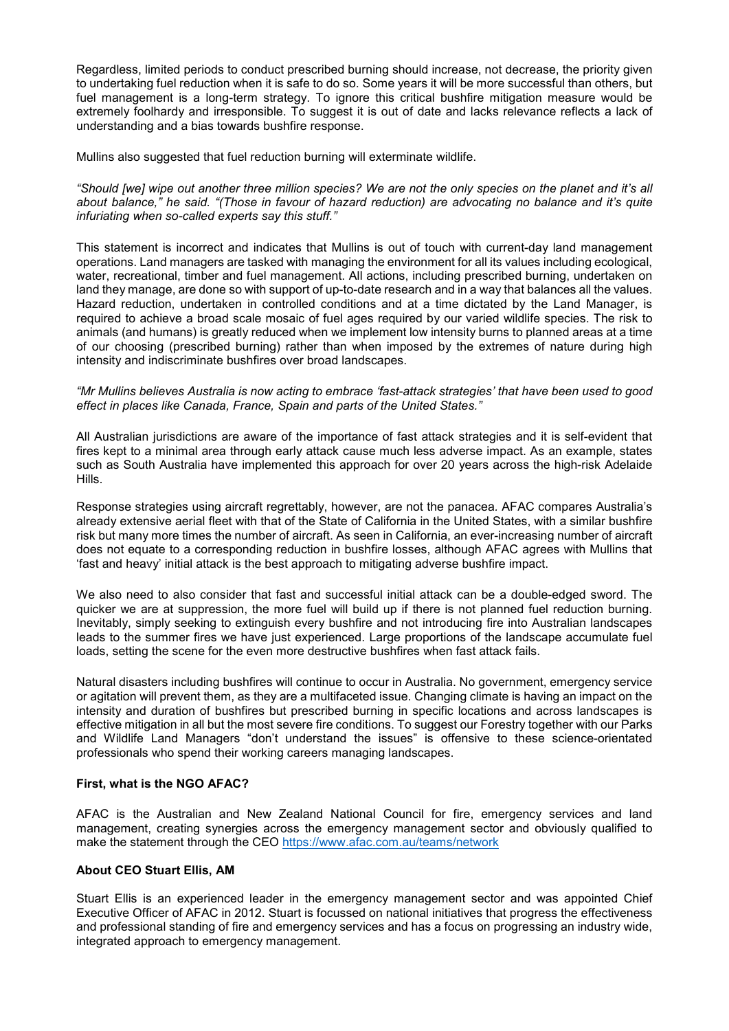Regardless, limited periods to conduct prescribed burning should increase, not decrease, the priority given to undertaking fuel reduction when it is safe to do so. Some years it will be more successful than others, but fuel management is a long-term strategy. To ignore this critical bushfire mitigation measure would be extremely foolhardy and irresponsible. To suggest it is out of date and lacks relevance reflects a lack of understanding and a bias towards bushfire response.

Mullins also suggested that fuel reduction burning will exterminate wildlife.

*"Should [we] wipe out another three million species? We are not the only species on the planet and it's all about balance," he said. "(Those in favour of hazard reduction) are advocating no balance and it's quite infuriating when so-called experts say this stuff."*

This statement is incorrect and indicates that Mullins is out of touch with current-day land management operations. Land managers are tasked with managing the environment for all its values including ecological, water, recreational, timber and fuel management. All actions, including prescribed burning, undertaken on land they manage, are done so with support of up-to-date research and in a way that balances all the values. Hazard reduction, undertaken in controlled conditions and at a time dictated by the Land Manager, is required to achieve a broad scale mosaic of fuel ages required by our varied wildlife species. The risk to animals (and humans) is greatly reduced when we implement low intensity burns to planned areas at a time of our choosing (prescribed burning) rather than when imposed by the extremes of nature during high intensity and indiscriminate bushfires over broad landscapes.

### *"Mr Mullins believes Australia is now acting to embrace 'fast-attack strategies' that have been used to good effect in places like Canada, France, Spain and parts of the United States."*

All Australian jurisdictions are aware of the importance of fast attack strategies and it is self-evident that fires kept to a minimal area through early attack cause much less adverse impact. As an example, states such as South Australia have implemented this approach for over 20 years across the high-risk Adelaide Hills.

Response strategies using aircraft regrettably, however, are not the panacea*.* AFAC compares Australia's already extensive aerial fleet with that of the State of California in the United States, with a similar bushfire risk but many more times the number of aircraft. As seen in California, an ever-increasing number of aircraft does not equate to a corresponding reduction in bushfire losses, although AFAC agrees with Mullins that 'fast and heavy' initial attack is the best approach to mitigating adverse bushfire impact.

We also need to also consider that fast and successful initial attack can be a double-edged sword. The quicker we are at suppression, the more fuel will build up if there is not planned fuel reduction burning. Inevitably, simply seeking to extinguish every bushfire and not introducing fire into Australian landscapes leads to the summer fires we have just experienced. Large proportions of the landscape accumulate fuel loads, setting the scene for the even more destructive bushfires when fast attack fails.

Natural disasters including bushfires will continue to occur in Australia. No government, emergency service or agitation will prevent them, as they are a multifaceted issue. Changing climate is having an impact on the intensity and duration of bushfires but prescribed burning in specific locations and across landscapes is effective mitigation in all but the most severe fire conditions. To suggest our Forestry together with our Parks and Wildlife Land Managers "don't understand the issues" is offensive to these science-orientated professionals who spend their working careers managing landscapes.

### **First, what is the NGO AFAC?**

AFAC is the Australian and New Zealand National Council for fire, emergency services and land management, creating synergies across the emergency management sector and obviously qualified to make the statement through the CEO https://www.afac.com.au/teams/network

### **About CEO Stuart Ellis, AM**

Stuart Ellis is an experienced leader in the emergency management sector and was appointed Chief Executive Officer of AFAC in 2012. Stuart is focussed on national initiatives that progress the effectiveness and professional standing of fire and emergency services and has a focus on progressing an industry wide, integrated approach to emergency management.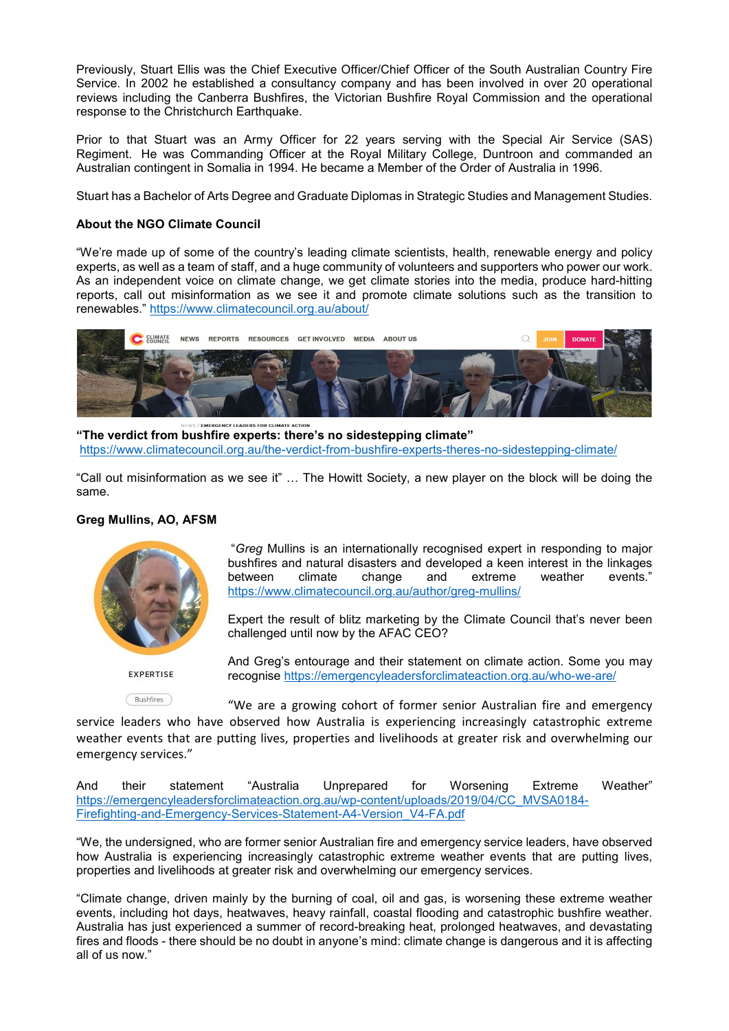Previously, Stuart Ellis was the Chief Executive Officer/Chief Officer of the South Australian Country Fire Service. In 2002 he established a consultancy company and has been involved in over 20 operational reviews including the Canberra Bushfires, the Victorian Bushfire Royal Commission and the operational response to the Christchurch Earthquake.

Prior to that Stuart was an Army Officer for 22 years serving with the Special Air Service (SAS) Regiment. He was Commanding Officer at the Royal Military College, Duntroon and commanded an Australian contingent in Somalia in 1994. He became a Member of the Order of Australia in 1996.

Stuart has a Bachelor of Arts Degree and Graduate Diplomas in Strategic Studies and Management Studies.

# **About the NGO Climate Council**

"We're made up of some of the country's leading climate scientists, health, renewable energy and policy experts, as well as a team of staff, and a huge community of volunteers and supporters who power our work. As an independent voice on climate change, we get climate stories into the media, produce hard-hitting reports, call out misinformation as we see it and promote climate solutions such as the transition to renewables." https://www.climatecouncil.org.au/about/



**"The verdict from bushfire experts: there's no sidestepping climate"** https://www.climatecouncil.org.au/the-verdict-from-bushfire-experts-theres-no-sidestepping-climate/

"Call out misinformation as we see it" … The Howitt Society, a new player on the block will be doing the same.

## **Greg Mullins, AO, AFSM**



"*Greg* Mullins is an internationally recognised expert in responding to major bushfires and natural disasters and developed a keen interest in the linkages between climate change and extreme weather events." https://www.climatecouncil.org.au/author/greg-mullins/

Expert the result of blitz marketing by the Climate Council that's never been challenged until now by the AFAC CEO?

**EXPERTISE** 

And Greg's entourage and their statement on climate action. Some you may recognise https://emergencyleadersforclimateaction.org.au/who-we-are/

(Bushfires) "We are a growing cohort of former senior Australian fire and emergency service leaders who have observed how Australia is experiencing increasingly catastrophic extreme weather events that are putting lives, properties and livelihoods at greater risk and overwhelming our emergency services."

And their statement "Australia Unprepared for Worsening Extreme Weather" https://emergencyleadersforclimateaction.org.au/wp-content/uploads/2019/04/CC\_MVSA0184- Firefighting-and-Emergency-Services-Statement-A4-Version\_V4-FA.pdf

"We, the undersigned, who are former senior Australian fire and emergency service leaders, have observed how Australia is experiencing increasingly catastrophic extreme weather events that are putting lives, properties and livelihoods at greater risk and overwhelming our emergency services.

"Climate change, driven mainly by the burning of coal, oil and gas, is worsening these extreme weather events, including hot days, heatwaves, heavy rainfall, coastal flooding and catastrophic bushfire weather. Australia has just experienced a summer of record-breaking heat, prolonged heatwaves, and devastating fires and floods - there should be no doubt in anyone's mind: climate change is dangerous and it is affecting all of us now."